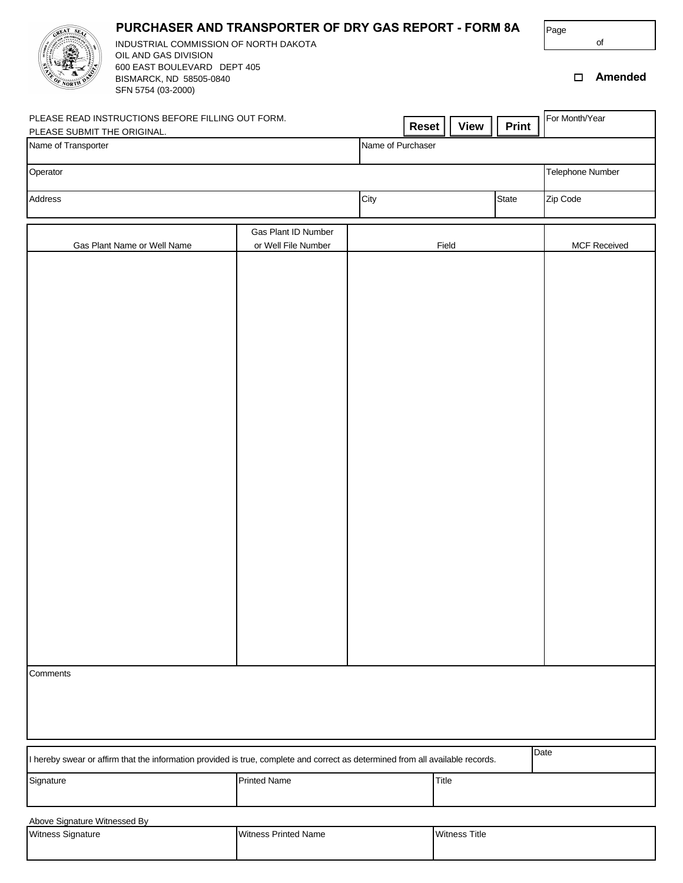| PURCHASER AND TRANSPORTER OF DRY GAS REPORT - FORM 8A<br>INDUSTRIAL COMMISSION OF NORTH DAKOTA<br>OIL AND GAS DIVISION         |                                            |                   |                      |              | Page<br>of          |                |
|--------------------------------------------------------------------------------------------------------------------------------|--------------------------------------------|-------------------|----------------------|--------------|---------------------|----------------|
| 600 EAST BOULEVARD DEPT 405<br>BISMARCK, ND 58505-0840<br>SFN 5754 (03-2000)                                                   |                                            |                   |                      |              | $\Box$              | <b>Amended</b> |
| PLEASE READ INSTRUCTIONS BEFORE FILLING OUT FORM.<br>PLEASE SUBMIT THE ORIGINAL.                                               |                                            | Reset             | <b>View</b>          | Print        | For Month/Year      |                |
| Name of Transporter                                                                                                            |                                            | Name of Purchaser |                      |              |                     |                |
| Operator                                                                                                                       |                                            |                   |                      |              | Telephone Number    |                |
| Address                                                                                                                        |                                            | City              |                      | <b>State</b> | Zip Code            |                |
| Gas Plant Name or Well Name                                                                                                    | Gas Plant ID Number<br>or Well File Number | Field             |                      |              | <b>MCF Received</b> |                |
|                                                                                                                                |                                            |                   |                      |              |                     |                |
|                                                                                                                                |                                            |                   |                      |              |                     |                |
|                                                                                                                                |                                            |                   |                      |              |                     |                |
|                                                                                                                                |                                            |                   |                      |              |                     |                |
|                                                                                                                                |                                            |                   |                      |              |                     |                |
|                                                                                                                                |                                            |                   |                      |              |                     |                |
|                                                                                                                                |                                            |                   |                      |              |                     |                |
|                                                                                                                                |                                            |                   |                      |              |                     |                |
|                                                                                                                                |                                            |                   |                      |              |                     |                |
|                                                                                                                                |                                            |                   |                      |              |                     |                |
|                                                                                                                                |                                            |                   |                      |              |                     |                |
|                                                                                                                                |                                            |                   |                      |              |                     |                |
|                                                                                                                                |                                            |                   |                      |              |                     |                |
|                                                                                                                                |                                            |                   |                      |              |                     |                |
|                                                                                                                                |                                            |                   |                      |              |                     |                |
| Comments                                                                                                                       |                                            |                   |                      |              |                     |                |
|                                                                                                                                |                                            |                   |                      |              |                     |                |
|                                                                                                                                |                                            |                   |                      |              |                     |                |
| I hereby swear or affirm that the information provided is true, complete and correct as determined from all available records. |                                            |                   |                      |              | Date                |                |
| Signature                                                                                                                      | <b>Printed Name</b>                        | Title             |                      |              |                     |                |
|                                                                                                                                |                                            |                   |                      |              |                     |                |
| Above Signature Witnessed By<br>Witness Signature                                                                              | <b>Witness Printed Name</b>                |                   | <b>Witness Title</b> |              |                     |                |